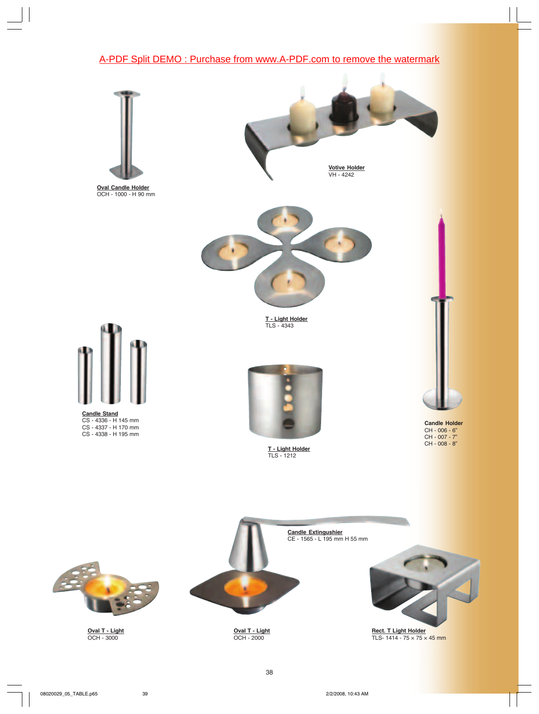## [A-PDF Split DEMO : Purchase from www.A-PDF.com to remove the watermark](http://www.a-pdf.com/?product-split-demo)



**Oval Candle Holder** OCH - 1000 - H 90 mm



**Votive Holder** VH - 4242



**T - Light Holder** TLS - 4343



**Candle Stand** CS - 4336 - H 145 mm CS - 4337 - H 170 mm CS - 4338 - H 195 mm



**T - Light Holder** TLS - 1212



**Candle Holder** CH - 006 - 6" CH - 007 - 7" CH - 008 - 8"



**Oval T - Light** OCH - 3000



**Oval T - Light** OCH - 2000



**Rect. T Light Holder** TLS- 1414 - 75 × 75 × 45 mm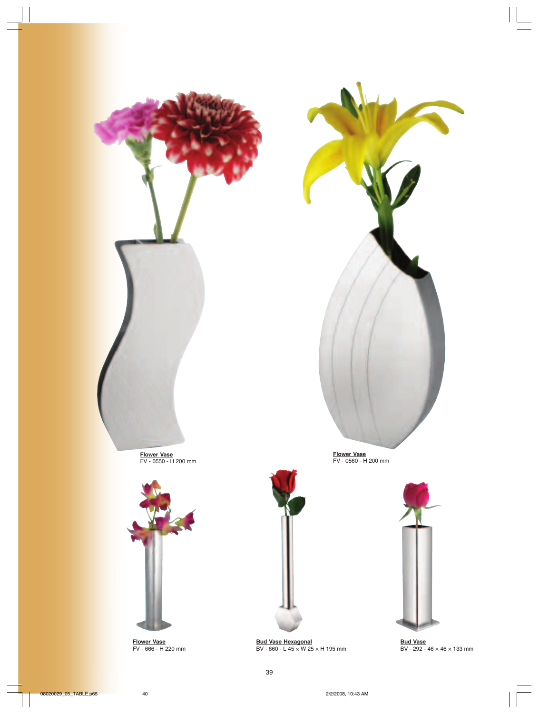



**Flower Vase** FV - 666 - H 220 mm



**Flower Vase** FV - 0560 - H 200 mm



**Bud Vase** BV - 292 - 46 × 46 × 133 mm

**Bud Vase Hexagonal**

BV - 660 - L 45 × W 25 × H 195 mm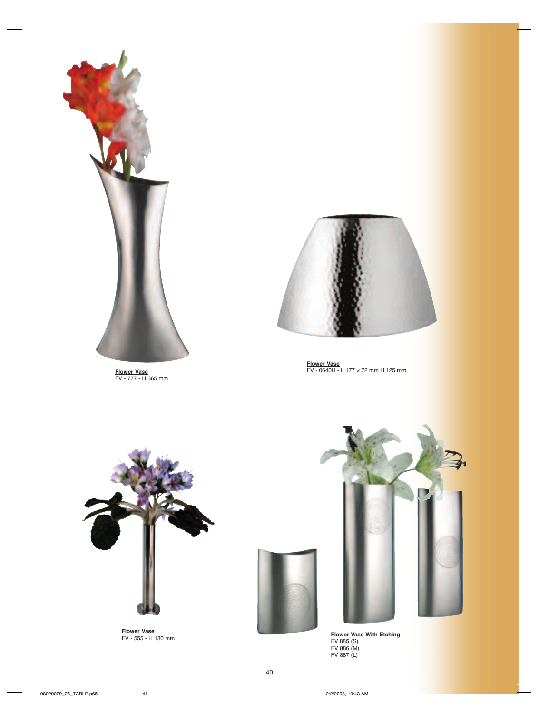

**Flower Vase** FV - 777 - H 365 mm



**Flower Vase** FV - 0640H - L 177 × 72 mm H 125 mm



**Flower Vase**





FV - 555 - H 130 mm **Flower Vase With Etching** FV 885 (S) FV 886 (M) FV 887 (L)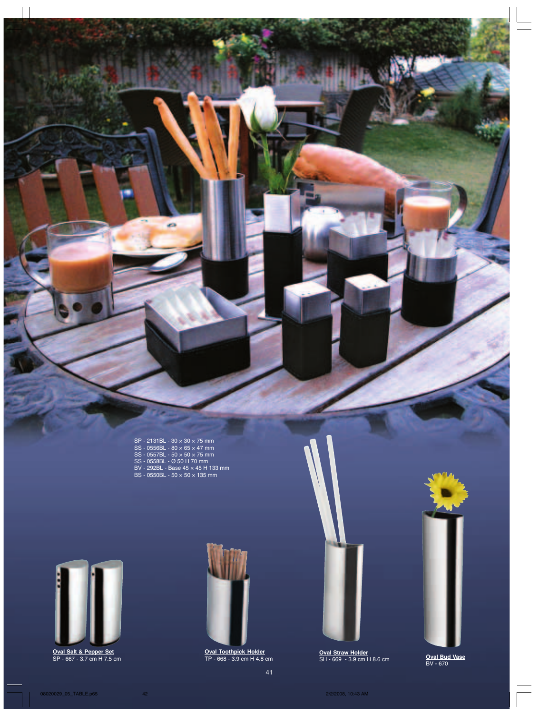| SP - 2131BL - 30 × 30 × 75 mm                             |  |
|-----------------------------------------------------------|--|
| SS - 0556BL - 8 $\overline{0}$ $\times$ 65 $\times$ 47 mm |  |
| $SS$ - 0557BL - 50 $\times$ 50 $\times$ 75 mm             |  |
| SS - 0558BL - Ø 50 H 70 mm                                |  |
| BV - 292BL - Base 45 × 45 H 133 mm                        |  |
| BS - 0550BL - 50 × 50 × 135 mm                            |  |

**ICIA** 



**Oval Salt & Pepper Set**



**Oval Toothpick Holder** TP - 668 - 3.9 cm H 4.8 cm

**Oval Straw Holder** SH - 669 - 3.9 cm H 8.6 cm SP - 667 - 3.7 cm H 7.5 cm **Oval Bud Vase**



Oval Bud Vase<br>BV - 670

41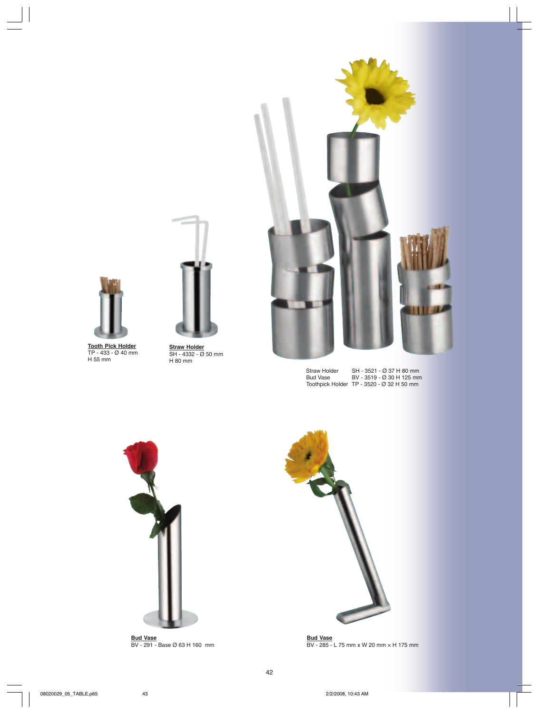



**Tooth Pick Holder** TP - 433 - Ø 40 mm H 55 mm



SH - 4332 - Ø 50 mm H 80 mm

 Straw Holder SH - 3521 - Ø 37 H 80 mm Bud Vase BV - 3519 - Ø 30 H 125 mm Toothpick Holder TP - 3520 - Ø 32 H 50 mm





**Bud Vase** BV - 291 - Base Ø 63 H 160 mm



**Bud Vase** BV - 285 - L 75 mm x W 20 mm × H 175 mm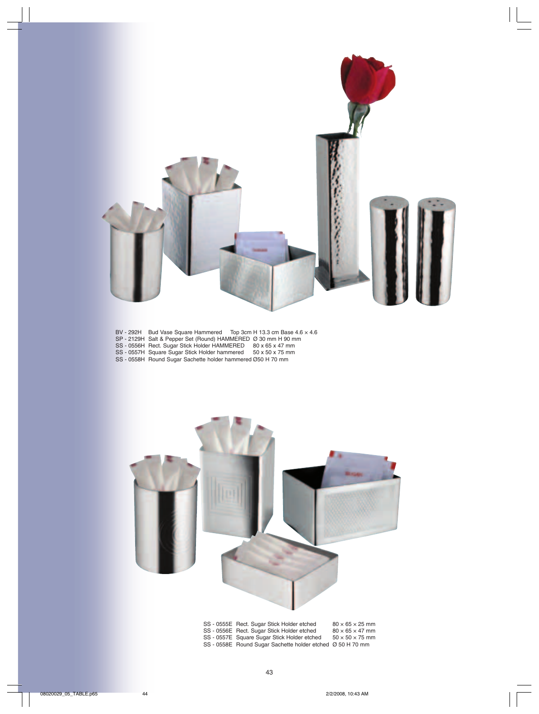

- BV 292H Bud Vase Square Hammered Top 3cm H 13.3 cm Base 4.6 × 4.6
- SP 2129H Salt & Pepper Set (Round) HAMMERED Ø 30 mm H 90 mm
- SS 0556H Rect. Sugar Stick Holder HAMMERED 80 x 65 x 47 mm
- SS 0557H Square Sugar Stick Holder hammered 50 x 50 x 75 mm
- SS 0558H Round Sugar Sachette holder hammered Ø50 H 70 mm



| SS-0333E Rect. Sugar Stick Holder etcried                  | $00 \times 00 \times 20$ iiiii |
|------------------------------------------------------------|--------------------------------|
| SS - 0556E Rect. Sugar Stick Holder etched                 | $80 \times 65 \times 47$ mm    |
| SS - 0557E Square Sugar Stick Holder etched                | $50 \times 50 \times 75$ mm    |
| SS - 0558E Round Sugar Sachette holder etched Ø 50 H 70 mm |                                |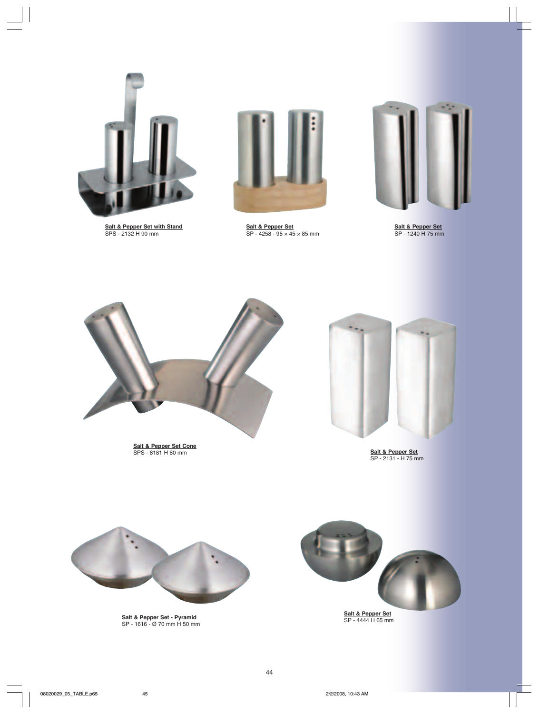

**Salt & Pepper Set with Stand** SPS - 2132 H 90 mm



**Salt & Pepper Set** SP - 4258 - 95 × 45 × 85 mm



**Salt & Pepper Set** SP - 1240 H 75 mm



**Salt & Pepper Set Cone** SPS - 8181 H 80 mm



**Salt & Pepper Set** SP - 2131 - H 75 mm



**Salt & Pepper Set - Pyramid** SP - 1616 - Ø 70 mm H 50 mm



**Salt & Pepper Set** SP - 4444 H 65 mm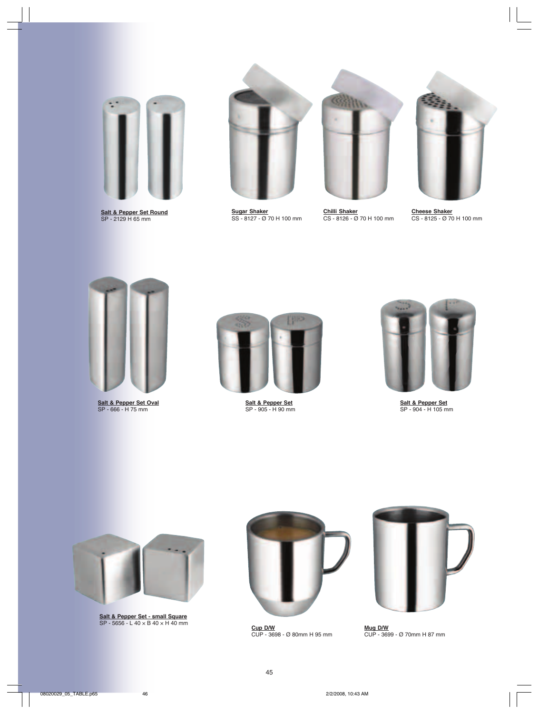

**Salt & Pepper Set Round** SP - 2129 H 65 mm



**Sugar Shaker** SS - 8127 - Ø 70 H 100 mm



**Chilli Shaker** CS - 8126 - Ø 70 H 100 mm



**Cheese Shaker** CS - 8125 - Ø 70 H 100 mm



**Salt & Pepper Set Oval** SP - 666 - H 75 mm



**Salt & Pepper Set** SP - 905 - H 90 mm



**Salt & Pepper Set** SP - 904 - H 105 mm



**Salt & Pepper Set - small Square** SP - 5656 - L 40 × B 40 × H 40 mm



**Cup D/W** CUP - 3698 - Ø 80mm H 95 mm



**Mug D/W** CUP - 3699 - Ø 70mm H 87 mm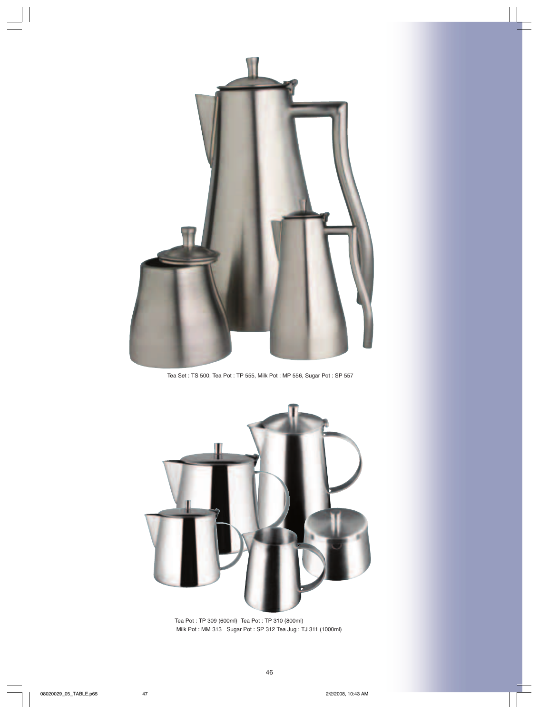

Tea Set : TS 500, Tea Pot : TP 555, Milk Pot : MP 556, Sugar Pot : SP 557



Tea Pot : TP 309 (600ml) Tea Pot : TP 310 (800ml) Milk Pot : MM 313 Sugar Pot : SP 312 Tea Jug : TJ 311 (1000ml)